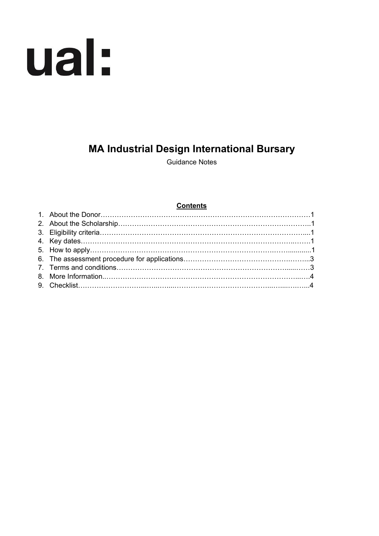# ual:

# **MA Industrial Design International Bursary**

Guidance Notes

# **Contents**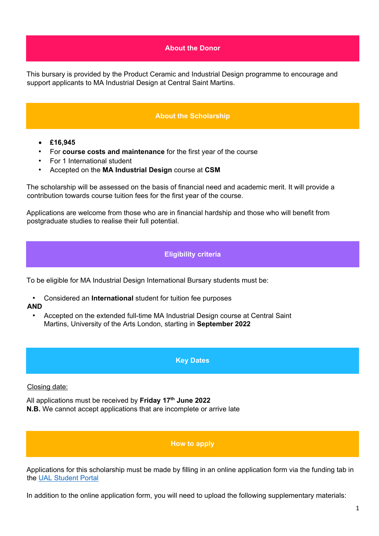# **About the Donor**

This bursary is provided by the Product Ceramic and Industrial Design programme to encourage and support applicants to MA Industrial Design at Central Saint Martins.

# **About the Scholarship**

- **£16,945**
- For **course costs and maintenance** for the first year of the course
- For 1 International student
- Accepted on the **MA Industrial Design** course at **CSM**

The scholarship will be assessed on the basis of financial need and academic merit. It will provide a contribution towards course tuition fees for the first year of the course.

Applications are welcome from those who are in financial hardship and those who will benefit from postgraduate studies to realise their full potential.

# **Eligibility criteria**

To be eligible for MA Industrial Design International Bursary students must be:

• Considered an **International** student for tuition fee purposes

### **AND**

• Accepted on the extended full-time MA Industrial Design course at Central Saint Martins, University of the Arts London, starting in **September 2022**

### **Key Dates**

### Closing date:

All applications must be received by **Friday 17th June 2022 N.B.** We cannot accept applications that are incomplete or arrive late

### **How to apply**

Applications for this scholarship must be made by filling in an online application form via the funding tab in the [UAL Student Portal](https://sits.arts.ac.uk/urd/sits.urd/run/SIW_LGN)

In addition to the online application form, you will need to upload the following supplementary materials: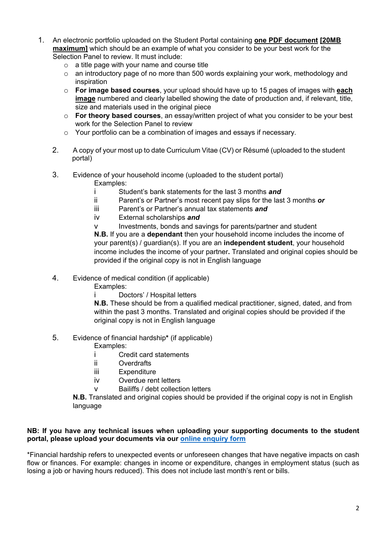- 1. An electronic portfolio uploaded on the Student Portal containing **one PDF document [20MB maximum]** which should be an example of what you consider to be your best work for the Selection Panel to review. It must include:
	- o a title page with your name and course title
	- o an introductory page of no more than 500 words explaining your work, methodology and inspiration
	- o **For image based courses**, your upload should have up to 15 pages of images with **each image** numbered and clearly labelled showing the date of production and, if relevant, title, size and materials used in the original piece
	- o **For theory based courses**, an essay/written project of what you consider to be your best work for the Selection Panel to review
	- o Your portfolio can be a combination of images and essays if necessary.
	- 2. A copy of your most up to date Curriculum Vitae (CV) or Résumé (uploaded to the student portal)
	- 3. Evidence of your household income (uploaded to the student portal) Examples:
		- i Student's bank statements for the last 3 months *and*
		- ii Parent's or Partner's most recent pay slips for the last 3 months *or*
		- iii Parent's or Partner's annual tax statements *and*
		- iv External scholarships *and*
		- v Investments, bonds and savings for parents/partner and student **N.B.** If you are a **dependant** then your household income includes the income of your parent(s) / guardian(s). If you are an **independent student**, your household income includes the income of your partner**.** Translated and original copies should be provided if the original copy is not in English language
	- 4. Evidence of medical condition (if applicable)
		- Examples:
			- Doctors' / Hospital letters

**N.B.** These should be from a qualified medical practitioner, signed, dated, and from within the past 3 months. Translated and original copies should be provided if the original copy is not in English language

5. Evidence of financial hardship**\*** (if applicable)

Examples:

i Credit card statements

- ii Overdrafts
- iii Expenditure
- iv Overdue rent letters
- v Bailiffs / debt collection letters

**N.B.** Translated and original copies should be provided if the original copy is not in English language

## **NB: If you have any technical issues when uploading your supporting documents to the student portal, please upload your documents via our [online enquiry form](https://forms.arts.ac.uk/funding-student-enquiry-form/)**

\*Financial hardship refers to unexpected events or unforeseen changes that have negative impacts on cash flow or finances. For example: changes in income or expenditure, changes in employment status (such as losing a job or having hours reduced). This does not include last month's rent or bills.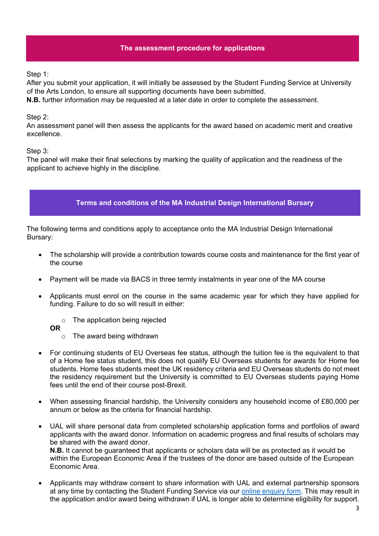# **The assessment procedure for applications**

Step 1:

After you submit your application, it will initially be assessed by the Student Funding Service at University of the Arts London, to ensure all supporting documents have been submitted.

**N.B.** further information may be requested at a later date in order to complete the assessment.

# Step 2:

An assessment panel will then assess the applicants for the award based on academic merit and creative excellence.

Step 3:

The panel will make their final selections by marking the quality of application and the readiness of the applicant to achieve highly in the discipline.



The following terms and conditions apply to acceptance onto the MA Industrial Design International Bursary:

- The scholarship will provide a contribution towards course costs and maintenance for the first year of the course
- Payment will be made via BACS in three termly instalments in year one of the MA course
- Applicants must enrol on the course in the same academic year for which they have applied for funding. Failure to do so will result in either:
	- o The application being rejected

**OR** 

- o The award being withdrawn
- For continuing students of EU Overseas fee status, although the tuition fee is the equivalent to that of a Home fee status student, this does not qualify EU Overseas students for awards for Home fee students. Home fees students meet the UK residency criteria and EU Overseas students do not meet the residency requirement but the University is committed to EU Overseas students paying Home fees until the end of their course post-Brexit.
- When assessing financial hardship, the University considers any household income of £80,000 per annum or below as the criteria for financial hardship.
- UAL will share personal data from completed scholarship application forms and portfolios of award applicants with the award donor. Information on academic progress and final results of scholars may be shared with the award donor. **N.B.** It cannot be guaranteed that applicants or scholars data will be as protected as it would be within the European Economic Area if the trustees of the donor are based outside of the European Economic Area.
- Applicants may withdraw consent to share information with UAL and external partnership sponsors at any time by contacting the Student Funding Service via our [online enquiry form.](https://forms.arts.ac.uk/funding-student-enquiry-form/) This may result in the application and/or award being withdrawn if UAL is longer able to determine eligibility for support.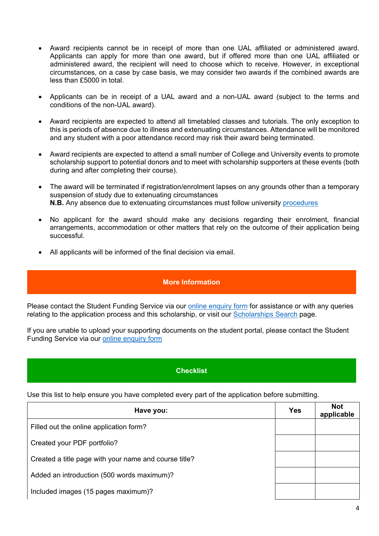- Award recipients cannot be in receipt of more than one UAL affiliated or administered award. Applicants can apply for more than one award, but if offered more than one UAL affiliated or administered award, the recipient will need to choose which to receive. However, in exceptional circumstances, on a case by case basis, we may consider two awards if the combined awards are less than £5000 in total.
- Applicants can be in receipt of a UAL award and a non-UAL award (subject to the terms and conditions of the non-UAL award).
- Award recipients are expected to attend all timetabled classes and tutorials. The only exception to this is periods of absence due to illness and extenuating circumstances. Attendance will be monitored and any student with a poor attendance record may risk their award being terminated.
- Award recipients are expected to attend a small number of College and University events to promote scholarship support to potential donors and to meet with scholarship supporters at these events (both during and after completing their course).
- The award will be terminated if registration/enrolment lapses on any grounds other than a temporary suspension of study due to extenuating circumstances **N.B.** Any absence due to extenuating circumstances must follow university [procedures](https://www.arts.ac.uk/study-at-ual/academic-regulations/course-regulations/extenuating-circumstances-and-time-out)
- No applicant for the award should make any decisions regarding their enrolment, financial arrangements, accommodation or other matters that rely on the outcome of their application being successful.
- All applicants will be informed of the final decision via email.

# **More Information**

Please contact the Student Funding Service via our [online enquiry form](https://forms.arts.ac.uk/funding-student-enquiry-form/) for assistance or with any queries relating to the application process and this scholarship, or visit our [Scholarships Search](http://www.arts.ac.uk/study-at-ual/student-fees--funding/scholarships-search/) page.

If you are unable to upload your supporting documents on the student portal, please contact the Student Funding Service via our [online enquiry form](https://forms.arts.ac.uk/funding-student-enquiry-form/)

# **Checklist**

Use this list to help ensure you have completed every part of the application before submitting.

| Have you:                                             | <b>Yes</b> | <b>Not</b><br>applicable |
|-------------------------------------------------------|------------|--------------------------|
| Filled out the online application form?               |            |                          |
| Created your PDF portfolio?                           |            |                          |
| Created a title page with your name and course title? |            |                          |
| Added an introduction (500 words maximum)?            |            |                          |
| Included images (15 pages maximum)?                   |            |                          |